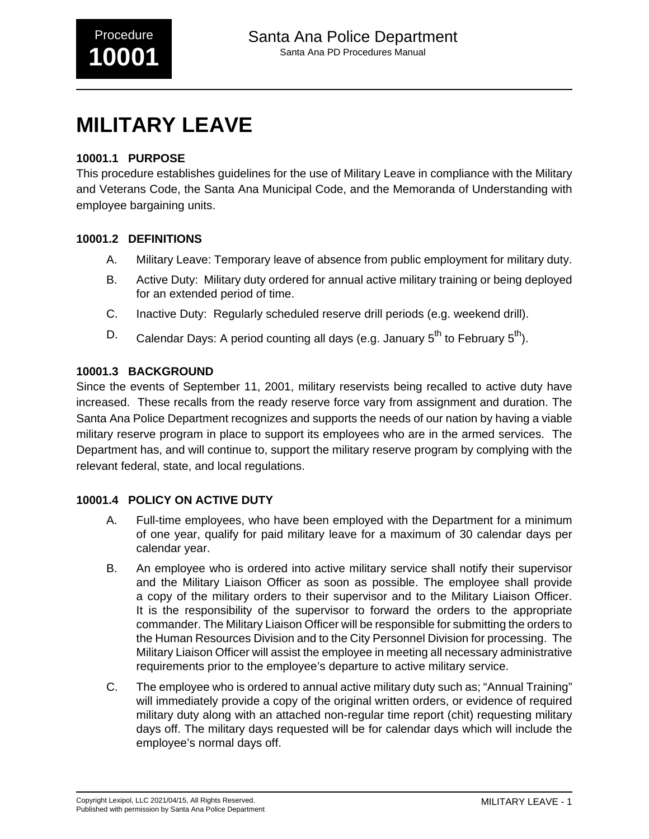# **MILITARY LEAVE**

## **10001.1 PURPOSE**

This procedure establishes guidelines for the use of Military Leave in compliance with the Military and Veterans Code, the Santa Ana Municipal Code, and the Memoranda of Understanding with employee bargaining units.

## **10001.2 DEFINITIONS**

- A. Military Leave: Temporary leave of absence from public employment for military duty.
- B. Active Duty: Military duty ordered for annual active military training or being deployed for an extended period of time.
- C. Inactive Duty: Regularly scheduled reserve drill periods (e.g. weekend drill).
- D. Calendar Days: A period counting all days (e.g. January  $5^{th}$  to February  $5^{th}$ ).

### **10001.3 BACKGROUND**

Since the events of September 11, 2001, military reservists being recalled to active duty have increased. These recalls from the ready reserve force vary from assignment and duration. The Santa Ana Police Department recognizes and supports the needs of our nation by having a viable military reserve program in place to support its employees who are in the armed services. The Department has, and will continue to, support the military reserve program by complying with the relevant federal, state, and local regulations.

## **10001.4 POLICY ON ACTIVE DUTY**

- A. Full-time employees, who have been employed with the Department for a minimum of one year, qualify for paid military leave for a maximum of 30 calendar days per calendar year.
- B. An employee who is ordered into active military service shall notify their supervisor and the Military Liaison Officer as soon as possible. The employee shall provide a copy of the military orders to their supervisor and to the Military Liaison Officer. It is the responsibility of the supervisor to forward the orders to the appropriate commander. The Military Liaison Officer will be responsible for submitting the orders to the Human Resources Division and to the City Personnel Division for processing. The Military Liaison Officer will assist the employee in meeting all necessary administrative requirements prior to the employee's departure to active military service.
- C. The employee who is ordered to annual active military duty such as; "Annual Training" will immediately provide a copy of the original written orders, or evidence of required military duty along with an attached non-regular time report (chit) requesting military days off. The military days requested will be for calendar days which will include the employee's normal days off.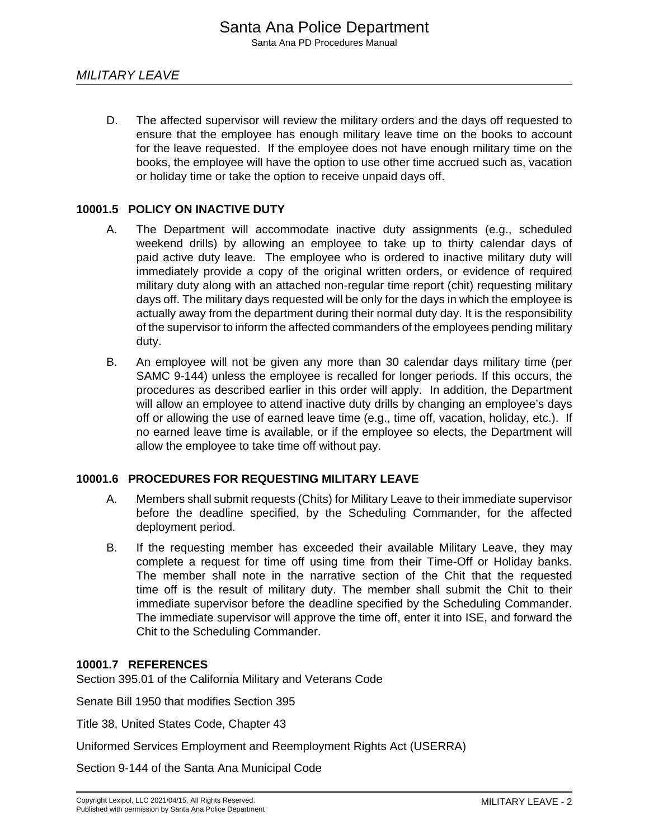D. The affected supervisor will review the military orders and the days off requested to ensure that the employee has enough military leave time on the books to account for the leave requested. If the employee does not have enough military time on the books, the employee will have the option to use other time accrued such as, vacation or holiday time or take the option to receive unpaid days off.

#### **10001.5 POLICY ON INACTIVE DUTY**

- A. The Department will accommodate inactive duty assignments (e.g., scheduled weekend drills) by allowing an employee to take up to thirty calendar days of paid active duty leave. The employee who is ordered to inactive military duty will immediately provide a copy of the original written orders, or evidence of required military duty along with an attached non-regular time report (chit) requesting military days off. The military days requested will be only for the days in which the employee is actually away from the department during their normal duty day. It is the responsibility of the supervisor to inform the affected commanders of the employees pending military duty.
- B. An employee will not be given any more than 30 calendar days military time (per SAMC 9-144) unless the employee is recalled for longer periods. If this occurs, the procedures as described earlier in this order will apply. In addition, the Department will allow an employee to attend inactive duty drills by changing an employee's days off or allowing the use of earned leave time (e.g., time off, vacation, holiday, etc.). If no earned leave time is available, or if the employee so elects, the Department will allow the employee to take time off without pay.

#### **10001.6 PROCEDURES FOR REQUESTING MILITARY LEAVE**

- A. Members shall submit requests (Chits) for Military Leave to their immediate supervisor before the deadline specified, by the Scheduling Commander, for the affected deployment period.
- B. If the requesting member has exceeded their available Military Leave, they may complete a request for time off using time from their Time-Off or Holiday banks. The member shall note in the narrative section of the Chit that the requested time off is the result of military duty. The member shall submit the Chit to their immediate supervisor before the deadline specified by the Scheduling Commander. The immediate supervisor will approve the time off, enter it into ISE, and forward the Chit to the Scheduling Commander.

#### **10001.7 REFERENCES**

Section 395.01 of the California Military and Veterans Code

Senate Bill 1950 that modifies Section 395

Title 38, United States Code, Chapter 43

Uniformed Services Employment and Reemployment Rights Act (USERRA)

Section 9-144 of the Santa Ana Municipal Code